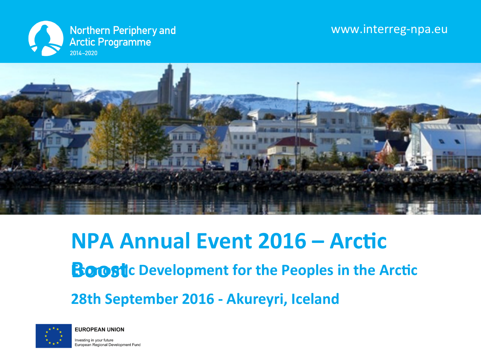### www.interreg-npa.eu





### **NPA Annual Event 2016 – Arctic**

**Boost C** Development for the Peoples in the Arctic

**28th September 2016 - Akureyri, Iceland** 



**EUROPEAN UNION** 

Investing in your future European Regional Development Fund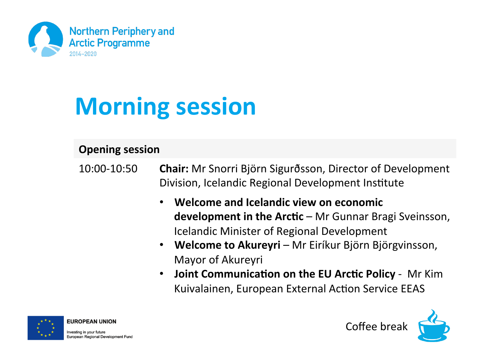

# **Morning session**

#### **Opening session**

- 10:00-10:50 **Chair:** Mr Snorri Björn Sigurðsson, Director of Development Division, Icelandic Regional Development Institute
	- **Welcome and Icelandic view on economic development in the Arctic** – Mr Gunnar Bragi Sveinsson, Icelandic Minister of Regional Development
	- **Welcome to Akureyri** Mr Eiríkur Björn Björgvinsson, Mayor of Akureyri
	- **Joint Communication on the EU Arctic Policy** Mr Kim Kuivalainen, European External Action Service EEAS



**EUROPEAN UNION** 

Investing in your future European Regional Development Fund Coffee break

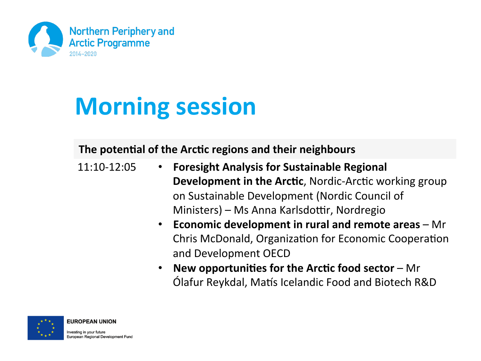

## **Morning session**

#### The potential of the Arctic regions and their neighbours

- 11:10-12:05 **Foresight Analysis for Sustainable Regional Development in the Arctic, Nordic-Arctic working group** on Sustainable Development (Nordic Council of Ministers) – Ms Anna Karlsdottir, Nordregio
	- **Economic development in rural and remote areas** Mr Chris McDonald, Organization for Economic Cooperation and Development OECD
	- **New opportunities for the Arctic food sector Mr** Ólafur Reykdal, Matís Icelandic Food and Biotech R&D



Investing in your future European Regional Development Fund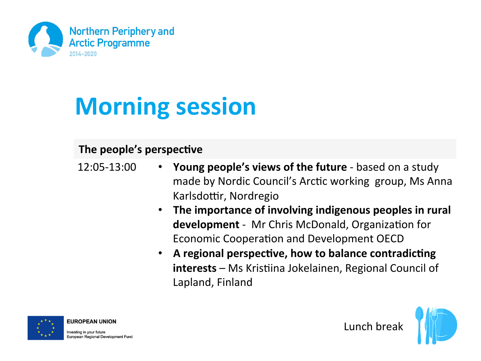

# **Morning session**

### **The people's perspective**

- 12:05-13:00 **Young people's views of the future** based on a study made by Nordic Council's Arctic working group, Ms Anna Karlsdottir, Nordregio
	- **The importance of involving indigenous peoples in rural development** - Mr Chris McDonald, Organization for Economic Cooperation and Development OECD
	- A regional perspective, how to balance contradicting **interests** – Ms Kristiina Jokelainen, Regional Council of Lapland, Finland



**EUROPEAN UNION** 

Investing in your future European Regional Development Fund Lunch break

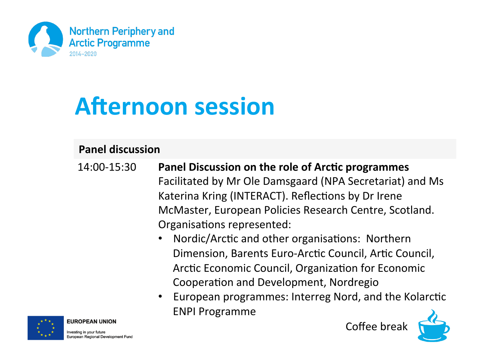

### **Afternoon session**

#### **Panel discussion**

- 14:00-15:30 Panel Discussion on the role of Arctic programmes Facilitated by Mr Ole Damsgaard (NPA Secretariat) and Ms Katerina Kring (INTERACT). Reflections by Dr Irene McMaster, European Policies Research Centre, Scotland. Organisations represented:
	- Nordic/Arctic and other organisations: Northern Dimension, Barents Euro-Arctic Council, Artic Council, Arctic Economic Council, Organization for Economic Cooperation and Development, Nordregio
	- European programmes: Interreg Nord, and the Kolarctic **ENPI Programme**



Investing in your future European Regional Development Fund Coffee break

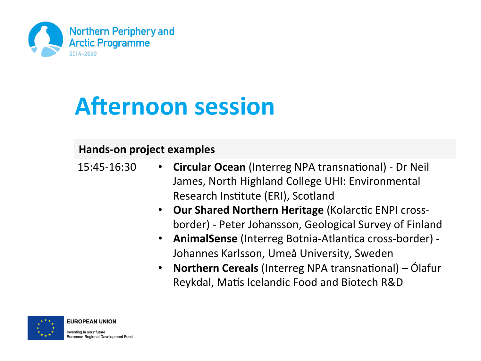

### **Afternoon session**

#### **Hands-on project examples**

| 15:45-16:30 | • Circular Ocean (Interreg NPA transnational) - Dr Neil |
|-------------|---------------------------------------------------------|
|             | James, North Highland College UHI: Environmental        |
|             | Research Institute (ERI), Scotland                      |

- **Our Shared Northern Heritage (Kolarctic ENPI cross**border) - Peter Johansson, Geological Survey of Finland
- AnimalSense (Interreg Botnia-Atlantica cross-border) -Johannes Karlsson, Umeå University, Sweden
- **Northern Cereals** (Interreg NPA transnational) Ólafur Reykdal, Matís Icelandic Food and Biotech R&D